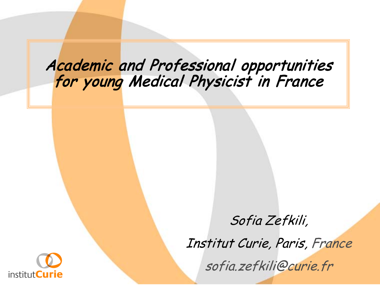# Academic and Professional opportunities for young Medical Physicist in France



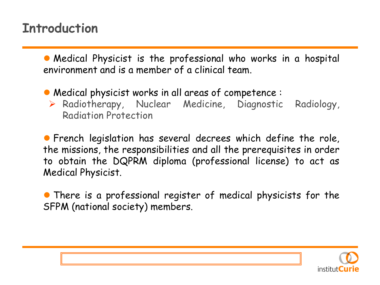#### **Introduction**

 Medical Physicist is the professional who works in a hospital environment and is a member of a clinical team.

Medical physicist works in all areas of competence :

 Radiotherapy, Nuclear Medicine, Diagnostic Radiology, Radiation Protection

 French legislation has several decrees which define the role, the missions, the responsibilities and all the prerequisites in order to obtain the DQPRM diploma (professional license) to act as Medical Physicist.

• There is a professional register of medical physicists for the SFPM (national society) members.

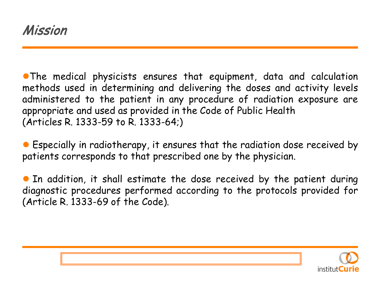The medical physicists ensures that equipment, data and calculation methods used in determining and delivering the doses and activity levels administered to the patient in any procedure of radiation exposure are appropriate and used as provided in the Code of Public Health (Articles R. 1333-59 to R. 1333-64;)

 Especially in radiotherapy, it ensures that the radiation dose received by patients corresponds to that prescribed one by the physician.

 In addition, it shall estimate the dose received by the patient during diagnostic procedures performed according to the protocols provided for (Article R. 1333-69 of the Code).

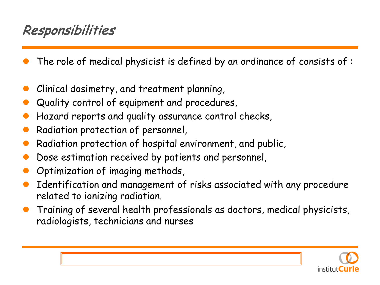#### Responsibilities

- The role of medical physicist is defined by an ordinance of consists of :
- Clinical dosimetry, and treatment planning,
- Quality control of equipment and procedures,
- Hazard reports and quality assurance control checks,
- Radiation protection of personnel,
- Radiation protection of hospital environment, and public,
- Dose estimation received by patients and personnel,
- Optimization of imaging methods,
- Identification and management of risks associated with any procedure related to ionizing radiation.
- Training of several health professionals as doctors, medical physicists, radiologists, technicians and nurses

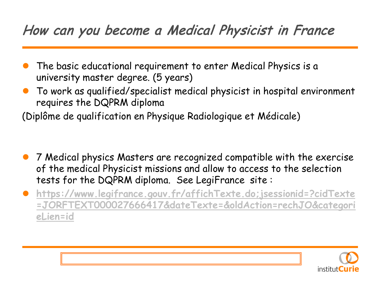#### How can you become a Medical Physicist in France

- The basic educational requirement to enter Medical Physics is a university master degree. (5 years)
- To work as qualified/specialist medical physicist in hospital environment requires the DQPRM diploma

(Diplôme de qualification en Physique Radiologique et Médicale)

- 7 Medical physics Masters are recognized compatible with the exercise of the medical Physicist missions and allow to access to the selection tests for the DQPRM diploma. See LegiFrance site :
- **[https://www.legifrance.gouv.fr/affichTexte.do;jsessionid=?cidTexte](https://www.legifrance.gouv.fr/affichTexte.do;jsessionid=?cidTexte=JORFTEXT000027666417&dateTexte=&oldAction=rechJO&categorieLien=id) [=JORFTEXT000027666417&dateTexte=&oldAction=rechJO&categori](https://www.legifrance.gouv.fr/affichTexte.do;jsessionid=?cidTexte=JORFTEXT000027666417&dateTexte=&oldAction=rechJO&categorieLien=id) [eLien=id](https://www.legifrance.gouv.fr/affichTexte.do;jsessionid=?cidTexte=JORFTEXT000027666417&dateTexte=&oldAction=rechJO&categorieLien=id)**

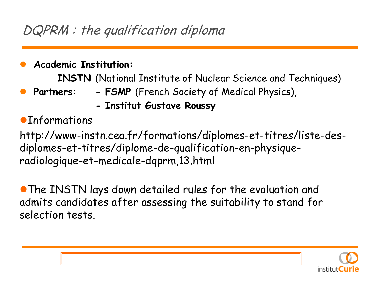- **Academic Institution: INSTN** (National Institute of Nuclear Science and Techniques)
	- **Partners: - FSMP** (French Society of Medical Physics),
		- **- Institut Gustave Roussy**
- **OInformations**

http://www-instn.cea.fr/formations/diplomes-et-titres/liste-desdiplomes-et-titres/diplome-de-qualification-en-physiqueradiologique-et-medicale-dqprm,13.html

The INSTN lays down detailed rules for the evaluation and admits candidates after assessing the suitability to stand for selection tests.

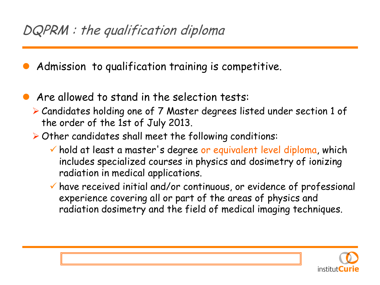Admission to qualification training is competitive.

- Are allowed to stand in the selection tests:
	- Candidates holding one of 7 Master degrees listed under section 1 of the order of the 1st of July 2013.
	- $\triangleright$  Other candidates shall meet the following conditions:
		- $\checkmark$  hold at least a master's degree or equivalent level diploma, which includes specialized courses in physics and dosimetry of ionizing radiation in medical applications.
		- have received initial and/or continuous, or evidence of professional experience covering all or part of the areas of physics and radiation dosimetry and the field of medical imaging techniques.

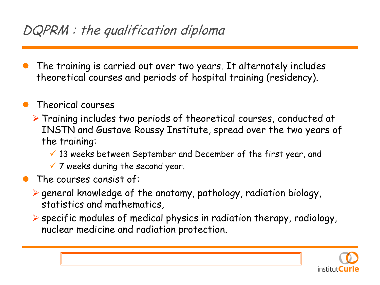The training is carried out over two years. It alternately includes theoretical courses and periods of hospital training (residency).

#### Theorical courses

- Training includes two periods of theoretical courses, conducted at INSTN and Gustave Roussy Institute, spread over the two years of the training:
	- $\checkmark$  13 weeks between September and December of the first year, and
	- $\times$  7 weeks during the second year.
- The courses consist of:
	- $\triangleright$  general knowledge of the anatomy, pathology, radiation biology, statistics and mathematics,
	- $\triangleright$  specific modules of medical physics in radiation therapy, radiology, nuclear medicine and radiation protection.

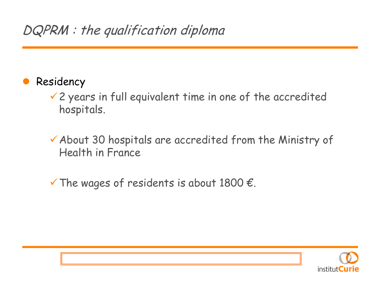- Residency
	- $\checkmark$  2 years in full equivalent time in one of the accredited hospitals.
	- About 30 hospitals are accredited from the Ministry of Health in France
	- $\checkmark$  The wages of residents is about 1800  $\epsilon$ .

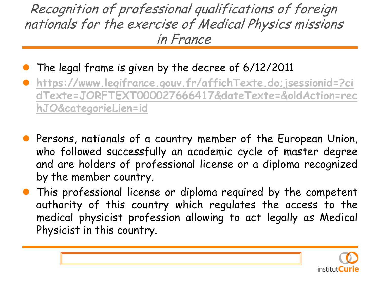Recognition of professional qualifications of foreign nationals for the exercise of Medical Physics missions in France

- The legal frame is given by the decree of 6/12/2011
- **[https://www.legifrance.gouv.fr/affichTexte.do;jsessionid=?ci](https://www.legifrance.gouv.fr/affichTexte.do;jsessionid=?cidTexte=JORFTEXT000027666417&dateTexte=&oldAction=rechJO&categorieLien=id) [dTexte=JORFTEXT000027666417&dateTexte=&oldAction=rec](https://www.legifrance.gouv.fr/affichTexte.do;jsessionid=?cidTexte=JORFTEXT000027666417&dateTexte=&oldAction=rechJO&categorieLien=id) [hJO&categorieLien=id](https://www.legifrance.gouv.fr/affichTexte.do;jsessionid=?cidTexte=JORFTEXT000027666417&dateTexte=&oldAction=rechJO&categorieLien=id)**
- **•** Persons, nationals of a country member of the European Union, who followed successfully an academic cycle of master degree and are holders of professional license or a diploma recognized by the member country.
- This professional license or diploma required by the competent authority of this country which regulates the access to the medical physicist profession allowing to act legally as Medical Physicist in this country.